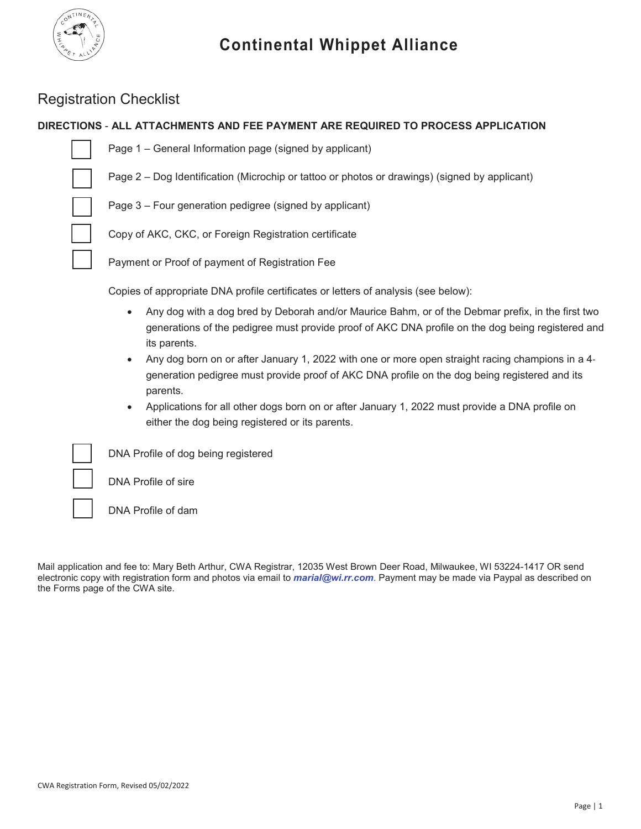

# Registration Checklist

# **DIRECTIONS** - **ALL ATTACHMENTS AND FEE PAYMENT ARE REQUIRED TO PROCESS APPLICATION**

Н

Page 1 – General Information page (signed by applicant)

Page 2 – Dog Identification (Microchip or tattoo or photos or drawings) (signed by applicant)

Page 3 – Four generation pedigree (signed by applicant)

Copy of AKC, CKC, or Foreign Registration certificate

Payment or Proof of payment of Registration Fee

Copies of appropriate DNA profile certificates or letters of analysis (see below):

- Any dog with a dog bred by Deborah and/or Maurice Bahm, or of the Debmar prefix, in the first two generations of the pedigree must provide proof of AKC DNA profile on the dog being registered and its parents.
- Any dog born on or after January 1, 2022 with one or more open straight racing champions in a 4generation pedigree must provide proof of AKC DNA profile on the dog being registered and its parents.
- Applications for all other dogs born on or after January 1, 2022 must provide a DNA profile on either the dog being registered or its parents.

DNA Profile of dog being registered

DNA Profile of sire

DNA Profile of dam

Mail application and fee to: Mary Beth Arthur, CWA Registrar, 12035 West Brown Deer Road, Milwaukee, WI 53224-1417 OR send electronic copy with registration form and photos via email to *marial@wi.rr.com*. Payment may be made via Paypal as described on the Forms page of the CWA site.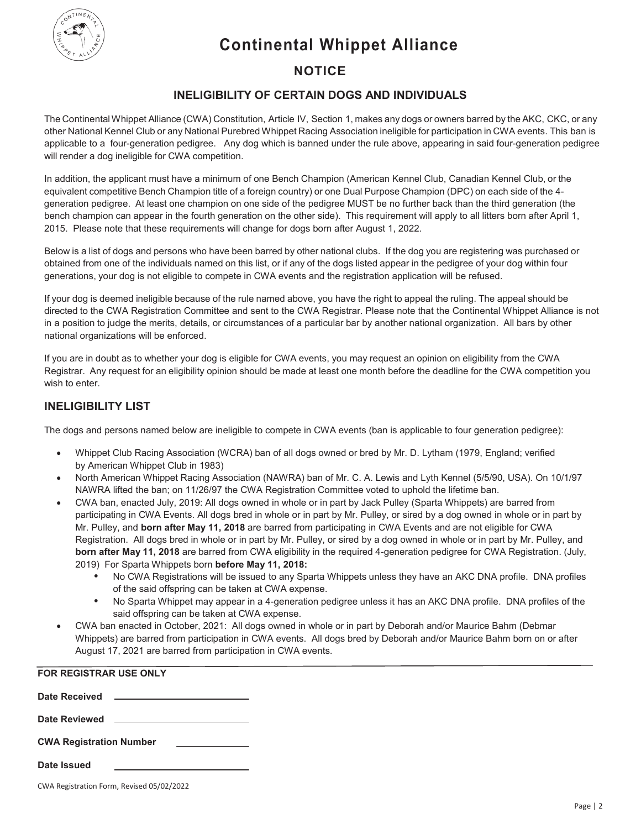**Continental Whippet Alliance**



# **NOTICE**

# **INELIGIBILITY OF CERTAIN DOGS AND INDIVIDUALS**

The Continental Whippet Alliance (CWA) Constitution, Article IV, Section 1, makes any dogs or owners barred by the AKC, CKC, or any other National Kennel Club or any National Purebred Whippet Racing Association ineligible for participation in CWA events. This ban is applicable to a four-generation pedigree. Any dog which is banned under the rule above, appearing in said four-generation pedigree will render a dog ineligible for CWA competition.

In addition, the applicant must have a minimum of one Bench Champion (American Kennel Club, Canadian Kennel Club, or the equivalent competitive Bench Champion title of a foreign country) or one Dual Purpose Champion (DPC) on each side of the 4 generation pedigree. At least one champion on one side of the pedigree MUST be no further back than the third generation (the bench champion can appear in the fourth generation on the other side). This requirement will apply to all litters born after April 1, 2015. Please note that these requirements will change for dogs born after August 1, 2022.

Below is a list of dogs and persons who have been barred by other national clubs. If the dog you are registering was purchased or obtained from one of the individuals named on this list, or if any of the dogs listed appear in the pedigree of your dog within four generations, your dog is not eligible to compete in CWA events and the registration application will be refused.

If your dog is deemed ineligible because of the rule named above, you have the right to appeal the ruling. The appeal should be directed to the CWA Registration Committee and sent to the CWA Registrar. Please note that the Continental Whippet Alliance is not in a position to judge the merits, details, or circumstances of a particular bar by another national organization. All bars by other national organizations will be enforced.

If you are in doubt as to whether your dog is eligible for CWA events, you may request an opinion on eligibility from the CWA Registrar. Any request for an eligibility opinion should be made at least one month before the deadline for the CWA competition you wish to enter.

# **INELIGIBILITY LIST**

The dogs and persons named below are ineligible to compete in CWA events (ban is applicable to four generation pedigree):

- x Whippet Club Racing Association (WCRA) ban of all dogs owned or bred by Mr. D. Lytham (1979, England; verified by American Whippet Club in 1983)
- x North American Whippet Racing Association (NAWRA) ban of Mr. C. A. Lewis and Lyth Kennel (5/5/90, USA). On 10/1/97 NAWRA lifted the ban; on 11/26/97 the CWA Registration Committee voted to uphold the lifetime ban.
- CWA ban, enacted July, 2019: All dogs owned in whole or in part by Jack Pulley (Sparta Whippets) are barred from participating in CWA Events. All dogs bred in whole or in part by Mr. Pulley, or sired by a dog owned in whole or in part by Mr. Pulley, and **born after May 11, 2018** are barred from participating in CWA Events and are not eligible for CWA Registration. All dogs bred in whole or in part by Mr. Pulley, or sired by a dog owned in whole or in part by Mr. Pulley, and **born after May 11, 2018** are barred from CWA eligibility in the required 4-generation pedigree for CWA Registration. (July, 2019) For Sparta Whippets born **before May 11, 2018:**
	- **•** No CWA Registrations will be issued to any Sparta Whippets unless they have an AKC DNA profile. DNA profiles of the said offspring can be taken at CWA expense.
	- **•** No Sparta Whippet may appear in a 4-generation pedigree unless it has an AKC DNA profile. DNA profiles of the said offspring can be taken at CWA expense.
- CWA ban enacted in October, 2021: All dogs owned in whole or in part by Deborah and/or Maurice Bahm (Debmar Whippets) are barred from participation in CWA events. All dogs bred by Deborah and/or Maurice Bahm born on or after August 17, 2021 are barred from participation in CWA events.

| <b>FOR REGISTRAR USE ONLY</b>                                                      |  |
|------------------------------------------------------------------------------------|--|
|                                                                                    |  |
|                                                                                    |  |
| <b>CWA Registration Number</b><br>the control of the control of the control of the |  |
| Date Issued                                                                        |  |

CWA Registration Form, Revised 05/02/2022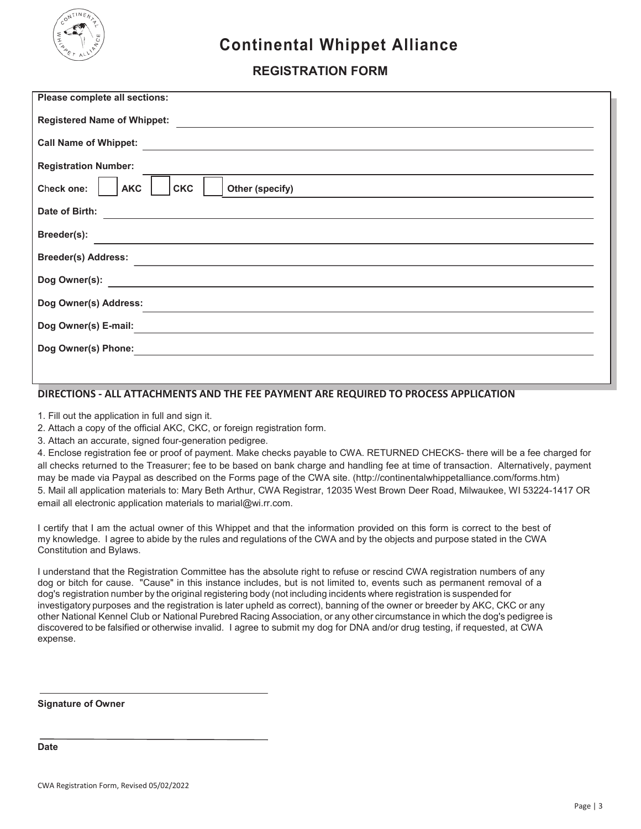

# **Continental Whippet Alliance**

# **REGISTRATION FORM**

| Please complete all sections:                                                                                                           |  |  |  |  |  |
|-----------------------------------------------------------------------------------------------------------------------------------------|--|--|--|--|--|
| <b>Registered Name of Whippet:</b>                                                                                                      |  |  |  |  |  |
| <b>Call Name of Whippet:</b><br><u> 1989 - Johann John Stein, markin fizik eta idazlearia (h. 1989).</u>                                |  |  |  |  |  |
| <b>Registration Number:</b>                                                                                                             |  |  |  |  |  |
| Check one:<br><b>AKC</b><br><b>CKC</b><br>Other (specify)                                                                               |  |  |  |  |  |
| Date of Birth:<br><u> 1989 - Johann Stoff, deutscher Stoff, der Stoff, der Stoff, der Stoff, der Stoff, der Stoff, der Stoff, der S</u> |  |  |  |  |  |
| Breeder(s):                                                                                                                             |  |  |  |  |  |
| <b>Breeder(s) Address:</b>                                                                                                              |  |  |  |  |  |
| Dog Owner(s):<br><u> 1989 - Johann John Stein, mars an deutscher Stein († 1918)</u>                                                     |  |  |  |  |  |
| Dog Owner(s) Address:                                                                                                                   |  |  |  |  |  |
| Dog Owner(s) E-mail:                                                                                                                    |  |  |  |  |  |
| Dog Owner(s) Phone:                                                                                                                     |  |  |  |  |  |
|                                                                                                                                         |  |  |  |  |  |

### **DIRECTIONS - ALL ATTACHMENTS AND THE FEE PAYMENT ARE REQUIRED TO PROCESS APPLICATION**

1. Fill out the application in full and sign it.

2. Attach a copy of the official AKC, CKC, or foreign registration form.

3. Attach an accurate, signed four-generation pedigree.

4. Enclose registration fee or proof of payment. Make checks payable to CWA. RETURNED CHECKS- there will be a fee charged for all checks returned to the Treasurer; fee to be based on bank charge and handling fee at time of transaction. Alternatively, payment may be made via Paypal as described on the Forms page of the CWA site. (http://continentalwhippetalliance.com/forms.htm) 5. Mail all application materials to: Mary Beth Arthur, CWA Registrar, 12035 West Brown Deer Road, Milwaukee, WI 53224-1417 OR email all electronic application materials to marial@wi.rr.com.

I certify that I am the actual owner of this Whippet and that the information provided on this form is correct to the best of my knowledge. I agree to abide by the rules and regulations of the CWA and by the objects and purpose stated in the CWA Constitution and Bylaws.

I understand that the Registration Committee has the absolute right to refuse or rescind CWA registration numbers of any dog or bitch for cause. "Cause" in this instance includes, but is not limited to, events such as permanent removal of a dog's registration number by the original registering body (not including incidents where registration is suspended for investigatory purposes and the registration is later upheld as correct), banning of the owner or breeder by AKC, CKC or any other National Kennel Club or National Purebred Racing Association, or any other circumstance in which the dog's pedigree is discovered to be falsified or otherwise invalid. I agree to submit my dog for DNA and/or drug testing, if requested, at CWA expense.

**Signature of Owner**

**Date**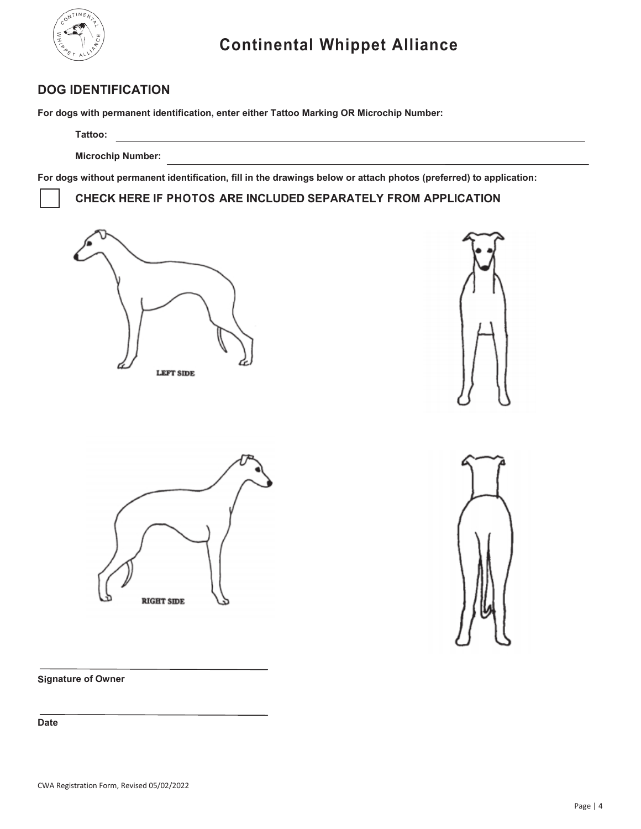

# **DOG IDENTIFICATION**

**For dogs with permanent identification, enter either Tattoo Marking OR Microchip Number:**

<u> 1989 - Johann Stoff, deutscher Stoffen und der Stoffen und der Stoffen und der Stoffen und der Stoffen und der</u>

**Tattoo:**

**Microchip Number:**

**For dogs without permanent identification, fill in the drawings below or attach photos (preferred) to application:**

**CHECK HERE IF PHOTOS ARE INCLUDED SEPARATELY FROM APPLICATION**









**Signature of Owner**

**Date**